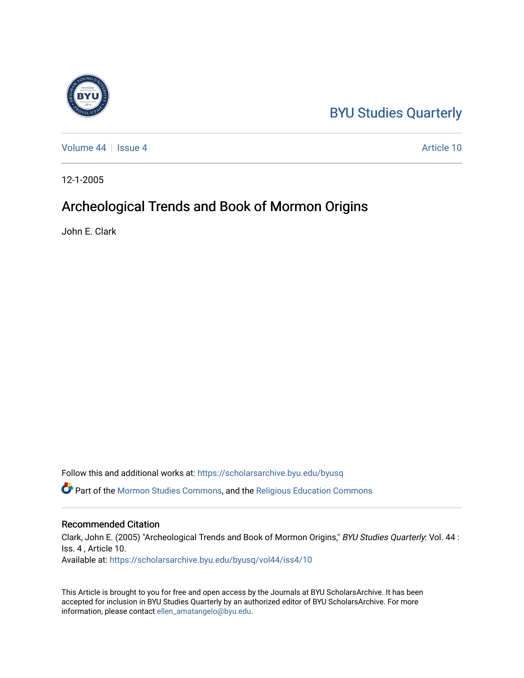# [BYU Studies Quarterly](https://scholarsarchive.byu.edu/byusq)

[Volume 44](https://scholarsarchive.byu.edu/byusq/vol44) | [Issue 4](https://scholarsarchive.byu.edu/byusq/vol44/iss4) Article 10

12-1-2005

# Archeological Trends and Book of Mormon Origins

John E. Clark

Follow this and additional works at: [https://scholarsarchive.byu.edu/byusq](https://scholarsarchive.byu.edu/byusq?utm_source=scholarsarchive.byu.edu%2Fbyusq%2Fvol44%2Fiss4%2F10&utm_medium=PDF&utm_campaign=PDFCoverPages) 

Part of the [Mormon Studies Commons](http://network.bepress.com/hgg/discipline/1360?utm_source=scholarsarchive.byu.edu%2Fbyusq%2Fvol44%2Fiss4%2F10&utm_medium=PDF&utm_campaign=PDFCoverPages), and the [Religious Education Commons](http://network.bepress.com/hgg/discipline/1414?utm_source=scholarsarchive.byu.edu%2Fbyusq%2Fvol44%2Fiss4%2F10&utm_medium=PDF&utm_campaign=PDFCoverPages) 

### Recommended Citation

Clark, John E. (2005) "Archeological Trends and Book of Mormon Origins," BYU Studies Quarterly: Vol. 44 : Iss. 4 , Article 10. Available at: [https://scholarsarchive.byu.edu/byusq/vol44/iss4/10](https://scholarsarchive.byu.edu/byusq/vol44/iss4/10?utm_source=scholarsarchive.byu.edu%2Fbyusq%2Fvol44%2Fiss4%2F10&utm_medium=PDF&utm_campaign=PDFCoverPages) 

This Article is brought to you for free and open access by the Journals at BYU ScholarsArchive. It has been accepted for inclusion in BYU Studies Quarterly by an authorized editor of BYU ScholarsArchive. For more information, please contact [ellen\\_amatangelo@byu.edu.](mailto:ellen_amatangelo@byu.edu)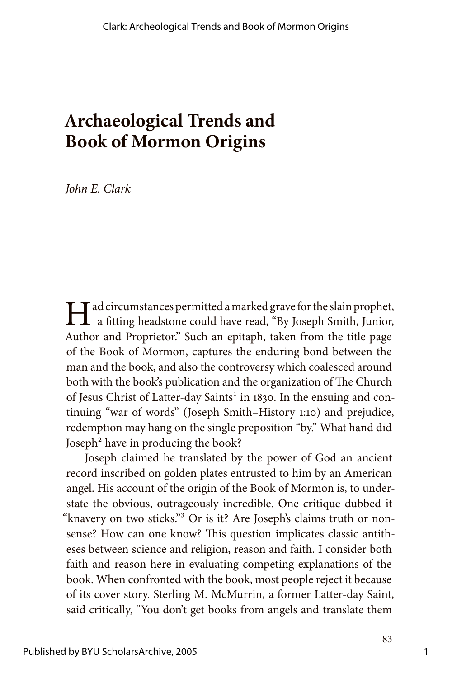# **Archaeological Trends and Book of Mormon Origins**

*John E. Clark*

I ad circumstances permitted a marked grave for the slain prophet,<br>
a fitting headstone could have read, "By Joseph Smith, Junior, Author and Proprietor." Such an epitaph, taken from the title page of the Book of Mormon, captures the enduring bond between the man and the book, and also the controversy which coalesced around both with the book's publication and the organization of The Church of Jesus Christ of Latter-day Saints<sup>1</sup> in 1830. In the ensuing and continuing "war of words" (Joseph Smith–History 1:10) and prejudice, redemption may hang on the single preposition "by." What hand did Joseph² have in producing the book?

 Joseph claimed he translated by the power of God an ancient record inscribed on golden plates entrusted to him by an American angel. His account of the origin of the Book of Mormon is, to understate the obvious, outrageously incredible. One critique dubbed it "knavery on two sticks."<sup>3</sup> Or is it? Are Joseph's claims truth or nonsense? How can one know? This question implicates classic antitheses between science and religion, reason and faith. I consider both faith and reason here in evaluating competing explanations of the book. When confronted with the book, most people reject it because of its cover story. Sterling M. McMurrin, a former Latter-day Saint, said critically, "You don't get books from angels and translate them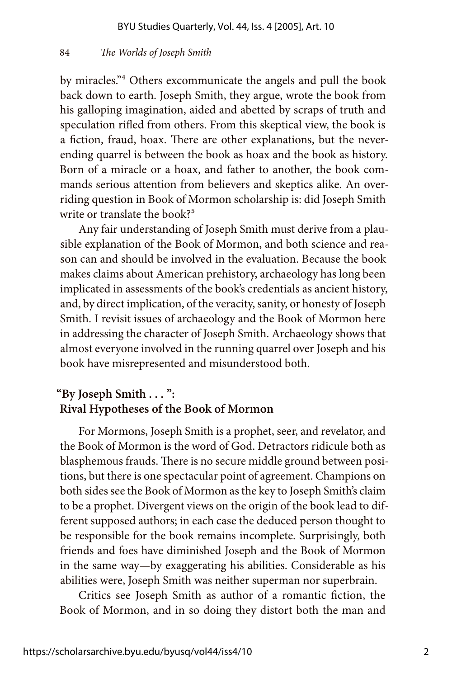by miracles."<sup>4</sup> Others excommunicate the angels and pull the book back down to earth. Joseph Smith, they argue, wrote the book from his galloping imagination, aided and abetted by scraps of truth and speculation rifled from others. From this skeptical view, the book is a fiction, fraud, hoax. There are other explanations, but the neverending quarrel is between the book as hoax and the book as history. Born of a miracle or a hoax, and father to another, the book commands serious attention from believers and skeptics alike. An overriding question in Book of Mormon scholarship is: did Joseph Smith write or translate the book?<sup>5</sup>

 Any fair understanding of Joseph Smith must derive from a plausible explanation of the Book of Mormon, and both science and reason can and should be involved in the evaluation. Because the book makes claims about American prehistory, archaeology has long been implicated in assessments of the book's credentials as ancient history, and, by direct implication, of the veracity, sanity, or honesty of Joseph Smith. I revisit issues of archaeology and the Book of Mormon here in addressing the character of Joseph Smith. Archaeology shows that almost everyone involved in the running quarrel over Joseph and his book have misrepresented and misunderstood both.

### **"By Joseph Smith . . . ": Rival Hypotheses of the Book of Mormon**

 For Mormons, Joseph Smith is a prophet, seer, and revelator, and the Book of Mormon is the word of God. Detractors ridicule both as blasphemous frauds. There is no secure middle ground between positions, but there is one spectacular point of agreement. Champions on both sides see the Book of Mormon as the key to Joseph Smith's claim to be a prophet. Divergent views on the origin of the book lead to different supposed authors; in each case the deduced person thought to be responsible for the book remains incomplete. Surprisingly, both friends and foes have diminished Joseph and the Book of Mormon in the same way—by exaggerating his abilities. Considerable as his abilities were, Joseph Smith was neither superman nor superbrain.

 Critics see Joseph Smith as author of a romantic fiction, the Book of Mormon, and in so doing they distort both the man and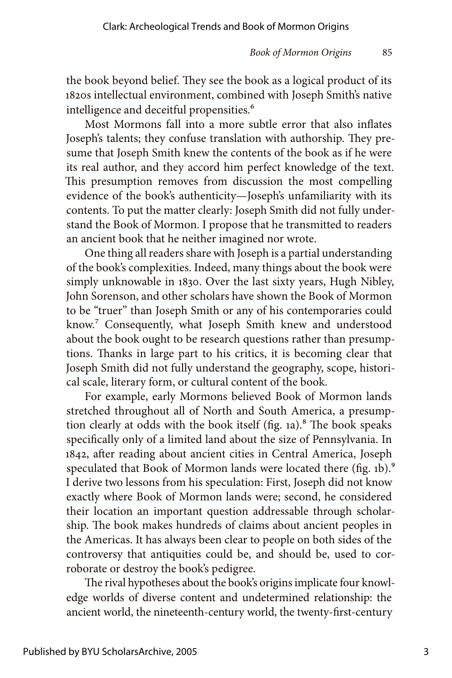the book beyond belief. They see the book as a logical product of its 820s intellectual environment, combined with Joseph Smith's native intelligence and deceitful propensities.<sup>6</sup>

 Most Mormons fall into a more subtle error that also inflates Joseph's talents; they confuse translation with authorship. They presume that Joseph Smith knew the contents of the book as if he were its real author, and they accord him perfect knowledge of the text. This presumption removes from discussion the most compelling evidence of the book's authenticity—Joseph's unfamiliarity with its contents. To put the matter clearly: Joseph Smith did not fully understand the Book of Mormon. I propose that he transmitted to readers an ancient book that he neither imagined nor wrote.

 One thing all readers share with Joseph is a partial understanding of the book's complexities. Indeed, many things about the book were simply unknowable in 1830. Over the last sixty years, Hugh Nibley, John Sorenson, and other scholars have shown the Book of Mormon to be "truer" than Joseph Smith or any of his contemporaries could know.<sup>7</sup> Consequently, what Joseph Smith knew and understood about the book ought to be research questions rather than presumptions. Thanks in large part to his critics, it is becoming clear that Joseph Smith did not fully understand the geography, scope, historical scale, literary form, or cultural content of the book.

 For example, early Mormons believed Book of Mormon lands stretched throughout all of North and South America, a presumption clearly at odds with the book itself (fig. 1a).<sup>8</sup> The book speaks specifically only of a limited land about the size of Pennsylvania. In 842, after reading about ancient cities in Central America, Joseph speculated that Book of Mormon lands were located there (fig. 1b).<sup>9</sup> I derive two lessons from his speculation: First, Joseph did not know exactly where Book of Mormon lands were; second, he considered their location an important question addressable through scholarship. The book makes hundreds of claims about ancient peoples in the Americas. It has always been clear to people on both sides of the controversy that antiquities could be, and should be, used to corroborate or destroy the book's pedigree.

 The rival hypotheses about the book's origins implicate four knowledge worlds of diverse content and undetermined relationship: the ancient world, the nineteenth-century world, the twenty-first-century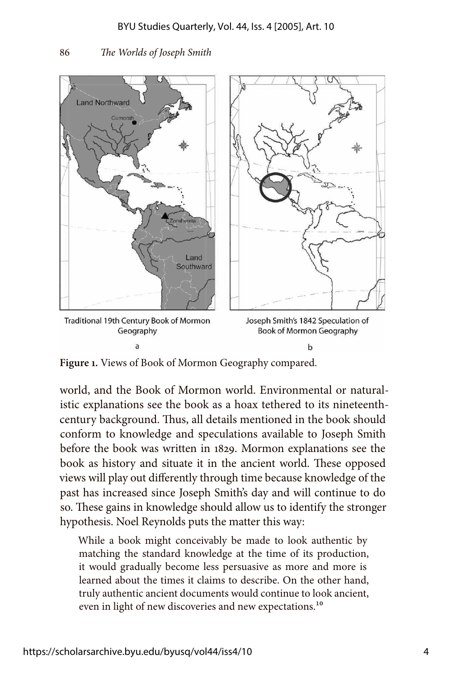

**Figure .** Views of Book of Mormon Geography compared.

world, and the Book of Mormon world. Environmental or naturalistic explanations see the book as a hoax tethered to its nineteenthcentury background. Thus, all details mentioned in the book should conform to knowledge and speculations available to Joseph Smith before the book was written in 1829. Mormon explanations see the book as history and situate it in the ancient world. These opposed views will play out differently through time because knowledge of the past has increased since Joseph Smith's day and will continue to do so. These gains in knowledge should allow us to identify the stronger hypothesis. Noel Reynolds puts the matter this way:

While a book might conceivably be made to look authentic by matching the standard knowledge at the time of its production, it would gradually become less persuasive as more and more is learned about the times it claims to describe. On the other hand, truly authentic ancient documents would continue to look ancient, even in light of new discoveries and new expectations.<sup>10</sup>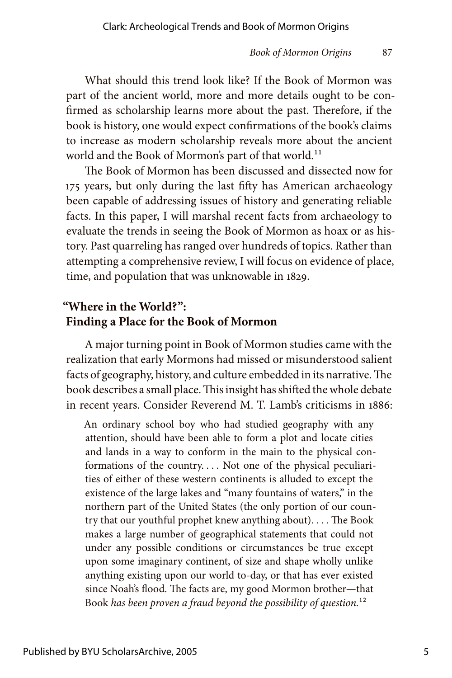What should this trend look like? If the Book of Mormon was part of the ancient world, more and more details ought to be confirmed as scholarship learns more about the past. Therefore, if the book is history, one would expect confirmations of the book's claims to increase as modern scholarship reveals more about the ancient world and the Book of Mormon's part of that world.<sup>11</sup>

 The Book of Mormon has been discussed and dissected now for 75 years, but only during the last fifty has American archaeology been capable of addressing issues of history and generating reliable facts. In this paper, I will marshal recent facts from archaeology to evaluate the trends in seeing the Book of Mormon as hoax or as history. Past quarreling has ranged over hundreds of topics. Rather than attempting a comprehensive review, I will focus on evidence of place, time, and population that was unknowable in 1829.

### **"Where in the World?": Finding a Place for the Book of Mormon**

 A major turning point in Book of Mormon studies came with the realization that early Mormons had missed or misunderstood salient facts of geography, history, and culture embedded in its narrative. The book describes a small place. This insight has shifted the whole debate in recent years. Consider Reverend M. T. Lamb's criticisms in 1886:

An ordinary school boy who had studied geography with any attention, should have been able to form a plot and locate cities and lands in a way to conform in the main to the physical conformations of the country. . . . Not one of the physical peculiarities of either of these western continents is alluded to except the existence of the large lakes and "many fountains of waters," in the northern part of the United States (the only portion of our country that our youthful prophet knew anything about). . . . The Book makes a large number of geographical statements that could not under any possible conditions or circumstances be true except upon some imaginary continent, of size and shape wholly unlike anything existing upon our world to-day, or that has ever existed since Noah's flood. The facts are, my good Mormon brother—that Book has been proven a fraud beyond the possibility of question.<sup>12</sup>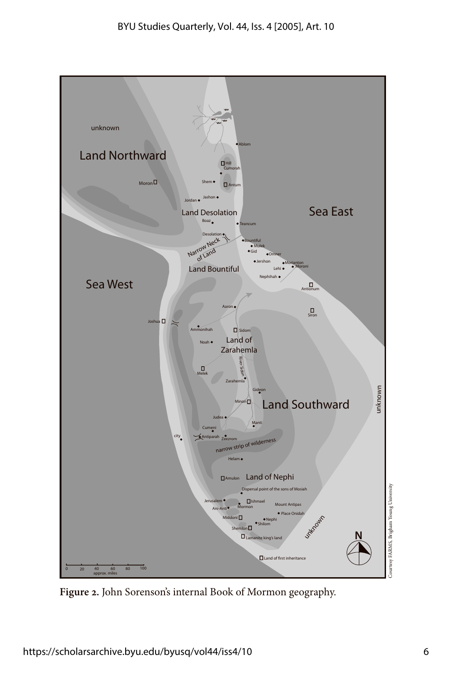

**Figure 2.** John Sorenson's internal Book of Mormon geography.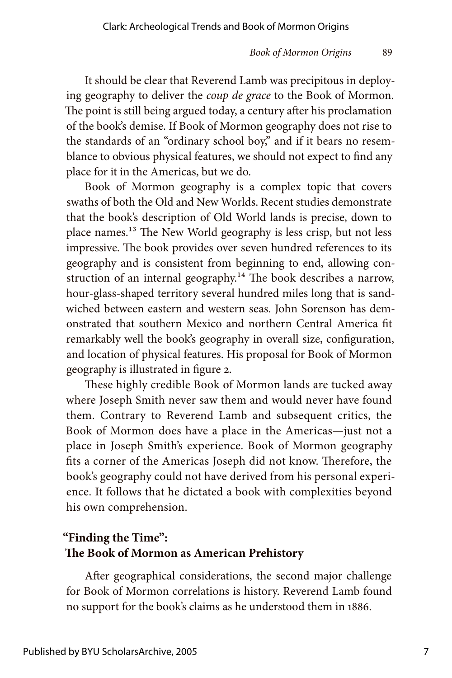It should be clear that Reverend Lamb was precipitous in deploying geography to deliver the *coup de grace* to the Book of Mormon. The point is still being argued today, a century after his proclamation of the book's demise. If Book of Mormon geography does not rise to the standards of an "ordinary school boy," and if it bears no resemblance to obvious physical features, we should not expect to find any place for it in the Americas, but we do.

 Book of Mormon geography is a complex topic that covers swaths of both the Old and New Worlds. Recent studies demonstrate that the book's description of Old World lands is precise, down to place names.<sup>13</sup> The New World geography is less crisp, but not less impressive. The book provides over seven hundred references to its geography and is consistent from beginning to end, allowing construction of an internal geography.<sup>14</sup> The book describes a narrow, hour-glass-shaped territory several hundred miles long that is sandwiched between eastern and western seas. John Sorenson has demonstrated that southern Mexico and northern Central America fit remarkably well the book's geography in overall size, configuration, and location of physical features. His proposal for Book of Mormon geography is illustrated in figure 2.

 These highly credible Book of Mormon lands are tucked away where Joseph Smith never saw them and would never have found them. Contrary to Reverend Lamb and subsequent critics, the Book of Mormon does have a place in the Americas—just not a place in Joseph Smith's experience. Book of Mormon geography fits a corner of the Americas Joseph did not know. Therefore, the book's geography could not have derived from his personal experience. It follows that he dictated a book with complexities beyond his own comprehension.

## **"Finding the Time": The Book of Mormon as American Prehistory**

 After geographical considerations, the second major challenge for Book of Mormon correlations is history. Reverend Lamb found no support for the book's claims as he understood them in 1886.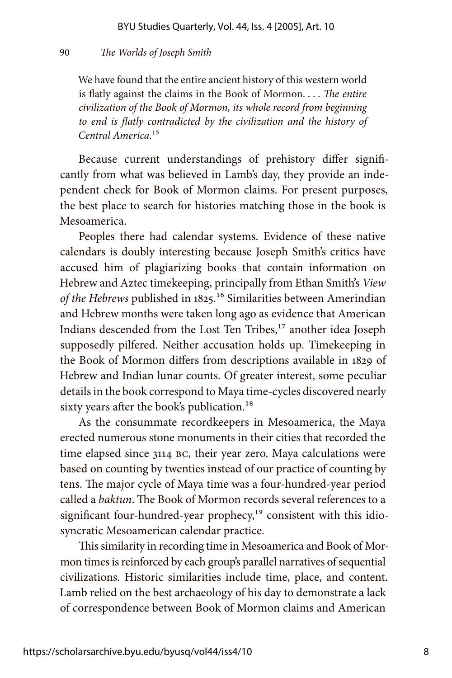We have found that the entire ancient history of this western world is flatly against the claims in the Book of Mormon. . . . *The entire civilization of the Book of Mormon, its whole record from beginning to end is flatly contradicted by the civilization and the history of*  **Central America.**<sup>15</sup>

 Because current understandings of prehistory differ significantly from what was believed in Lamb's day, they provide an independent check for Book of Mormon claims. For present purposes, the best place to search for histories matching those in the book is Mesoamerica.

 Peoples there had calendar systems. Evidence of these native calendars is doubly interesting because Joseph Smith's critics have accused him of plagiarizing books that contain information on Hebrew and Aztec timekeeping, principally from Ethan Smith's *View*  of the Hebrews published in 1825.<sup>16</sup> Similarities between Amerindian and Hebrew months were taken long ago as evidence that American Indians descended from the Lost Ten Tribes,<sup>17</sup> another idea Joseph supposedly pilfered. Neither accusation holds up. Timekeeping in the Book of Mormon differs from descriptions available in 1829 of Hebrew and Indian lunar counts. Of greater interest, some peculiar details in the book correspond to Maya time-cycles discovered nearly sixty years after the book's publication.<sup>18</sup>

 As the consummate recordkeepers in Mesoamerica, the Maya erected numerous stone monuments in their cities that recorded the time elapsed since 3114 BC, their year zero. Maya calculations were based on counting by twenties instead of our practice of counting by tens. The major cycle of Maya time was a four-hundred-year period called a *baktun*. The Book of Mormon records several references to a significant four-hundred-year prophecy, $19$  consistent with this idiosyncratic Mesoamerican calendar practice.

 This similarity in recording time in Mesoamerica and Book of Mormon times is reinforced by each group's parallel narratives of sequential civilizations. Historic similarities include time, place, and content. Lamb relied on the best archaeology of his day to demonstrate a lack of correspondence between Book of Mormon claims and American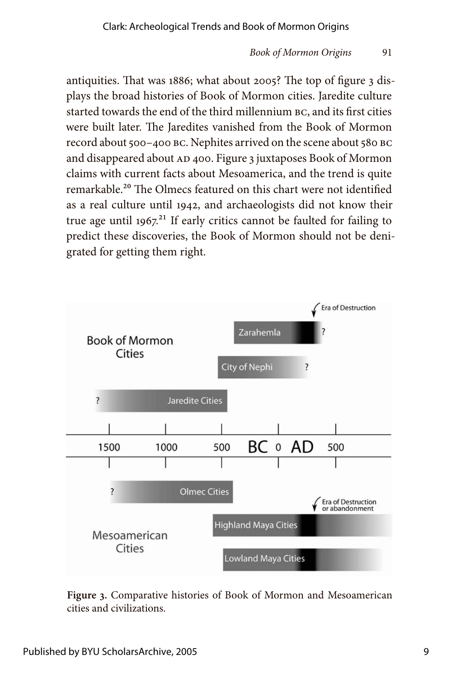antiquities. That was 1886; what about 2005? The top of figure 3 displays the broad histories of Book of Mormon cities. Jaredite culture started towards the end of the third millennium bc, and its first cities were built later. The Jaredites vanished from the Book of Mormon record about 500–400 bc. Nephites arrived on the scene about 580 bc and disappeared about AD 400. Figure 3 juxtaposes Book of Mormon claims with current facts about Mesoamerica, and the trend is quite remarkable.<sup>20</sup> The Olmecs featured on this chart were not identified as a real culture until 942, and archaeologists did not know their true age until 1967.<sup>21</sup> If early critics cannot be faulted for failing to predict these discoveries, the Book of Mormon should not be denigrated for getting them right.



**Figure 3.** Comparative histories of Book of Mormon and Mesoamerican cities and civilizations.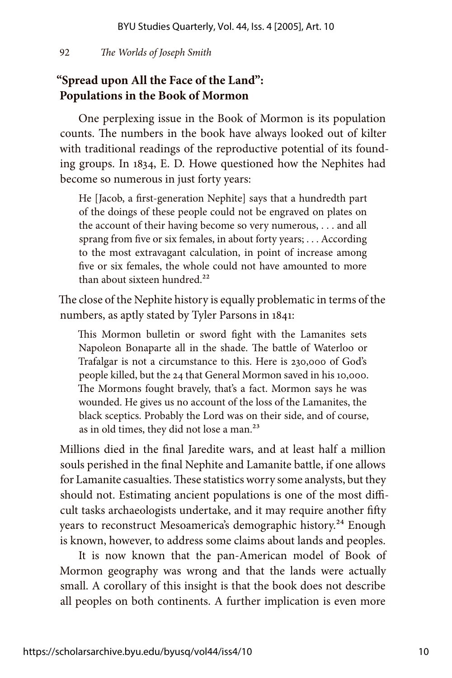## **"Spread upon All the Face of the Land": Populations in the Book of Mormon**

 One perplexing issue in the Book of Mormon is its population counts. The numbers in the book have always looked out of kilter with traditional readings of the reproductive potential of its founding groups. In 834, E. D. Howe questioned how the Nephites had become so numerous in just forty years:

He [Jacob, a first-generation Nephite] says that a hundredth part of the doings of these people could not be engraved on plates on the account of their having become so very numerous, . . . and all sprang from five or six females, in about forty years; . . . According to the most extravagant calculation, in point of increase among five or six females, the whole could not have amounted to more than about sixteen hundred.<sup>22</sup>

The close of the Nephite history is equally problematic in terms of the numbers, as aptly stated by Tyler Parsons in 1841:

This Mormon bulletin or sword fight with the Lamanites sets Napoleon Bonaparte all in the shade. The battle of Waterloo or Trafalgar is not a circumstance to this. Here is 230,000 of God's people killed, but the 24 that General Mormon saved in his 10,000. The Mormons fought bravely, that's a fact. Mormon says he was wounded. He gives us no account of the loss of the Lamanites, the black sceptics. Probably the Lord was on their side, and of course, as in old times, they did not lose a man.<sup>23</sup>

Millions died in the final Jaredite wars, and at least half a million souls perished in the final Nephite and Lamanite battle, if one allows for Lamanite casualties. These statistics worry some analysts, but they should not. Estimating ancient populations is one of the most difficult tasks archaeologists undertake, and it may require another fifty years to reconstruct Mesoamerica's demographic history.<sup>24</sup> Enough is known, however, to address some claims about lands and peoples.

 It is now known that the pan-American model of Book of Mormon geography was wrong and that the lands were actually small. A corollary of this insight is that the book does not describe all peoples on both continents. A further implication is even more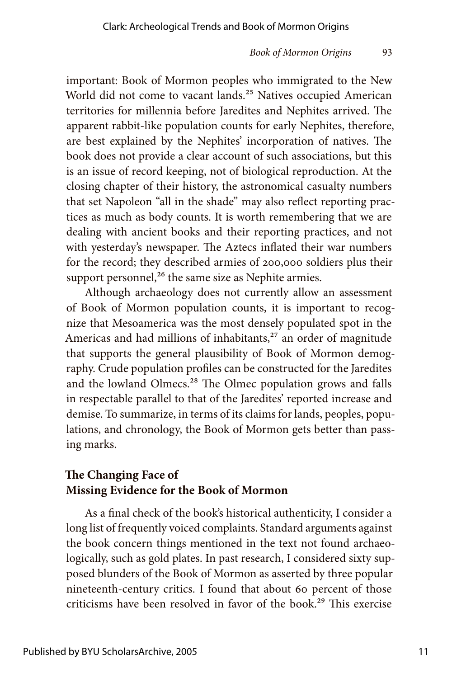important: Book of Mormon peoples who immigrated to the New World did not come to vacant lands.<sup>25</sup> Natives occupied American territories for millennia before Jaredites and Nephites arrived. The apparent rabbit-like population counts for early Nephites, therefore, are best explained by the Nephites' incorporation of natives. The book does not provide a clear account of such associations, but this is an issue of record keeping, not of biological reproduction. At the closing chapter of their history, the astronomical casualty numbers that set Napoleon "all in the shade" may also reflect reporting practices as much as body counts. It is worth remembering that we are dealing with ancient books and their reporting practices, and not with yesterday's newspaper. The Aztecs inflated their war numbers for the record; they described armies of 200,000 soldiers plus their support personnel,<sup>26</sup> the same size as Nephite armies.

 Although archaeology does not currently allow an assessment of Book of Mormon population counts, it is important to recognize that Mesoamerica was the most densely populated spot in the Americas and had millions of inhabitants, $^{27}$  an order of magnitude that supports the general plausibility of Book of Mormon demography. Crude population profiles can be constructed for the Jaredites and the lowland Olmecs.<sup>28</sup> The Olmec population grows and falls in respectable parallel to that of the Jaredites' reported increase and demise. To summarize, in terms of its claims for lands, peoples, populations, and chronology, the Book of Mormon gets better than passing marks.

## **The Changing Face of Missing Evidence for the Book of Mormon**

 As a final check of the book's historical authenticity, I consider a long list of frequently voiced complaints. Standard arguments against the book concern things mentioned in the text not found archaeologically, such as gold plates. In past research, I considered sixty supposed blunders of the Book of Mormon as asserted by three popular nineteenth-century critics. I found that about 60 percent of those criticisms have been resolved in favor of the book.<sup>29</sup> This exercise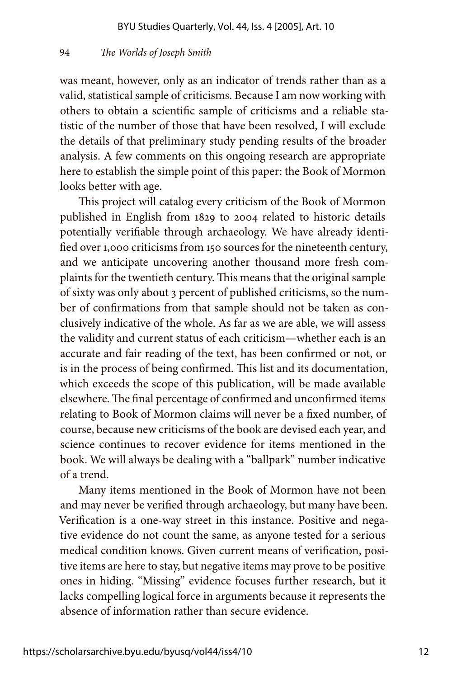was meant, however, only as an indicator of trends rather than as a valid, statistical sample of criticisms. Because I am now working with others to obtain a scientific sample of criticisms and a reliable statistic of the number of those that have been resolved, I will exclude the details of that preliminary study pending results of the broader analysis. A few comments on this ongoing research are appropriate here to establish the simple point of this paper: the Book of Mormon looks better with age.

 This project will catalog every criticism of the Book of Mormon published in English from 1829 to 2004 related to historic details potentially verifiable through archaeology. We have already identified over 1,000 criticisms from 150 sources for the nineteenth century, and we anticipate uncovering another thousand more fresh complaints for the twentieth century. This means that the original sample of sixty was only about 3 percent of published criticisms, so the number of confirmations from that sample should not be taken as conclusively indicative of the whole. As far as we are able, we will assess the validity and current status of each criticism—whether each is an accurate and fair reading of the text, has been confirmed or not, or is in the process of being confirmed. This list and its documentation, which exceeds the scope of this publication, will be made available elsewhere. The final percentage of confirmed and unconfirmed items relating to Book of Mormon claims will never be a fixed number, of course, because new criticisms of the book are devised each year, and science continues to recover evidence for items mentioned in the book. We will always be dealing with a "ballpark" number indicative of a trend.

 Many items mentioned in the Book of Mormon have not been and may never be verified through archaeology, but many have been. Verification is a one-way street in this instance. Positive and negative evidence do not count the same, as anyone tested for a serious medical condition knows. Given current means of verification, positive items are here to stay, but negative items may prove to be positive ones in hiding. "Missing" evidence focuses further research, but it lacks compelling logical force in arguments because it represents the absence of information rather than secure evidence.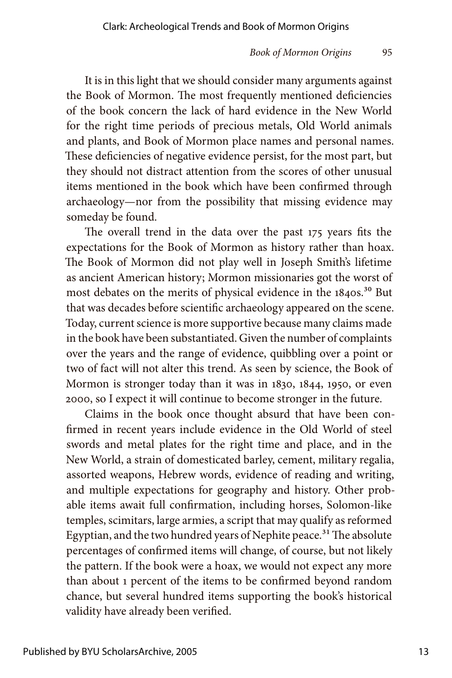#### *Book of Mormon Origins* 95

 It is in this light that we should consider many arguments against the Book of Mormon. The most frequently mentioned deficiencies of the book concern the lack of hard evidence in the New World for the right time periods of precious metals, Old World animals and plants, and Book of Mormon place names and personal names. These deficiencies of negative evidence persist, for the most part, but they should not distract attention from the scores of other unusual items mentioned in the book which have been confirmed through archaeology—nor from the possibility that missing evidence may someday be found.

The overall trend in the data over the past 175 years fits the expectations for the Book of Mormon as history rather than hoax. The Book of Mormon did not play well in Joseph Smith's lifetime as ancient American history; Mormon missionaries got the worst of most debates on the merits of physical evidence in the 1840s.<sup>30</sup> But that was decades before scientific archaeology appeared on the scene. Today, current science is more supportive because many claims made in the book have been substantiated. Given the number of complaints over the years and the range of evidence, quibbling over a point or two of fact will not alter this trend. As seen by science, the Book of Mormon is stronger today than it was in 1830, 1844, 1950, or even 2000, so I expect it will continue to become stronger in the future.

 Claims in the book once thought absurd that have been confirmed in recent years include evidence in the Old World of steel swords and metal plates for the right time and place, and in the New World, a strain of domesticated barley, cement, military regalia, assorted weapons, Hebrew words, evidence of reading and writing, and multiple expectations for geography and history. Other probable items await full confirmation, including horses, Solomon-like temples, scimitars, large armies, a script that may qualify as reformed Egyptian, and the two hundred years of Nephite peace.<sup>31</sup> The absolute percentages of confirmed items will change, of course, but not likely the pattern. If the book were a hoax, we would not expect any more than about 1 percent of the items to be confirmed beyond random chance, but several hundred items supporting the book's historical validity have already been verified.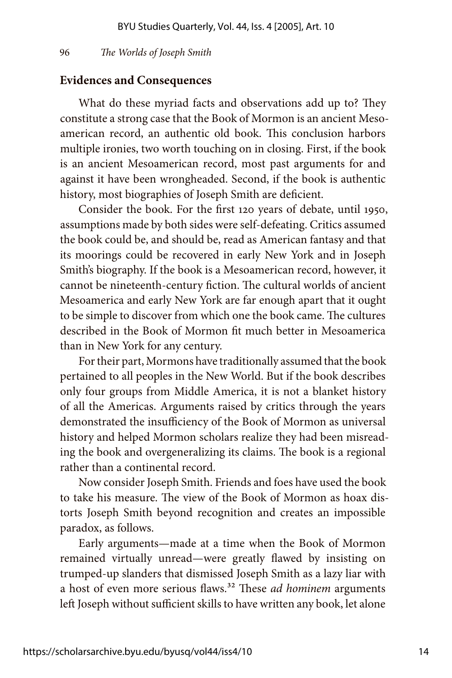### **Evidences and Consequences**

 What do these myriad facts and observations add up to? They constitute a strong case that the Book of Mormon is an ancient Mesoamerican record, an authentic old book. This conclusion harbors multiple ironies, two worth touching on in closing. First, if the book is an ancient Mesoamerican record, most past arguments for and against it have been wrongheaded. Second, if the book is authentic history, most biographies of Joseph Smith are deficient.

Consider the book. For the first 120 years of debate, until 1950, assumptions made by both sides were self-defeating. Critics assumed the book could be, and should be, read as American fantasy and that its moorings could be recovered in early New York and in Joseph Smith's biography. If the book is a Mesoamerican record, however, it cannot be nineteenth-century fiction. The cultural worlds of ancient Mesoamerica and early New York are far enough apart that it ought to be simple to discover from which one the book came. The cultures described in the Book of Mormon fit much better in Mesoamerica than in New York for any century.

 For their part, Mormons have traditionally assumed that the book pertained to all peoples in the New World. But if the book describes only four groups from Middle America, it is not a blanket history of all the Americas. Arguments raised by critics through the years demonstrated the insufficiency of the Book of Mormon as universal history and helped Mormon scholars realize they had been misreading the book and overgeneralizing its claims. The book is a regional rather than a continental record.

 Now consider Joseph Smith. Friends and foes have used the book to take his measure. The view of the Book of Mormon as hoax distorts Joseph Smith beyond recognition and creates an impossible paradox, as follows.

 Early arguments—made at a time when the Book of Mormon remained virtually unread—were greatly flawed by insisting on trumped-up slanders that dismissed Joseph Smith as a lazy liar with a host of even more serious flaws.³² These *ad hominem* arguments left Joseph without sufficient skills to have written any book, let alone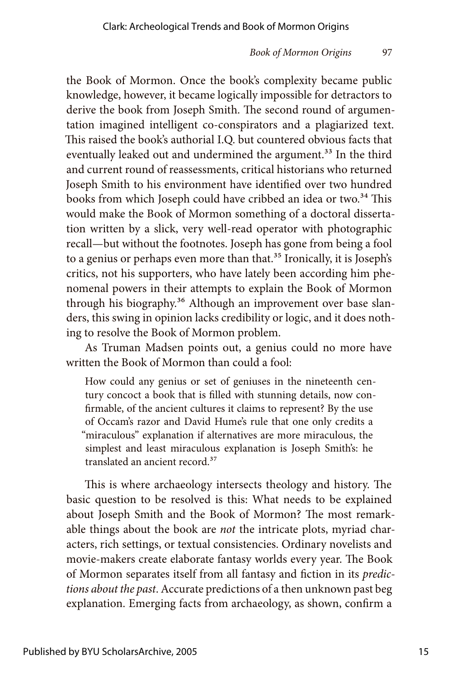the Book of Mormon. Once the book's complexity became public knowledge, however, it became logically impossible for detractors to derive the book from Joseph Smith. The second round of argumentation imagined intelligent co-conspirators and a plagiarized text. This raised the book's authorial I.Q. but countered obvious facts that eventually leaked out and undermined the argument.<sup>33</sup> In the third and current round of reassessments, critical historians who returned Joseph Smith to his environment have identified over two hundred books from which Joseph could have cribbed an idea or two.<sup>34</sup> This would make the Book of Mormon something of a doctoral dissertation written by a slick, very well-read operator with photographic recall—but without the footnotes. Joseph has gone from being a fool to a genius or perhaps even more than that.<sup>35</sup> Ironically, it is Joseph's critics, not his supporters, who have lately been according him phenomenal powers in their attempts to explain the Book of Mormon through his biography.<sup>36</sup> Although an improvement over base slanders, this swing in opinion lacks credibility or logic, and it does nothing to resolve the Book of Mormon problem.

 As Truman Madsen points out, a genius could no more have written the Book of Mormon than could a fool:

How could any genius or set of geniuses in the nineteenth century concoct a book that is filled with stunning details, now confirmable, of the ancient cultures it claims to represent? By the use of Occam's razor and David Hume's rule that one only credits a "miraculous" explanation if alternatives are more miraculous, the simplest and least miraculous explanation is Joseph Smith's: he translated an ancient record.<sup>37</sup>

 This is where archaeology intersects theology and history. The basic question to be resolved is this: What needs to be explained about Joseph Smith and the Book of Mormon? The most remarkable things about the book are *not* the intricate plots, myriad characters, rich settings, or textual consistencies. Ordinary novelists and movie-makers create elaborate fantasy worlds every year. The Book of Mormon separates itself from all fantasy and fiction in its *predictions about the past*. Accurate predictions of a then unknown past beg explanation. Emerging facts from archaeology, as shown, confirm a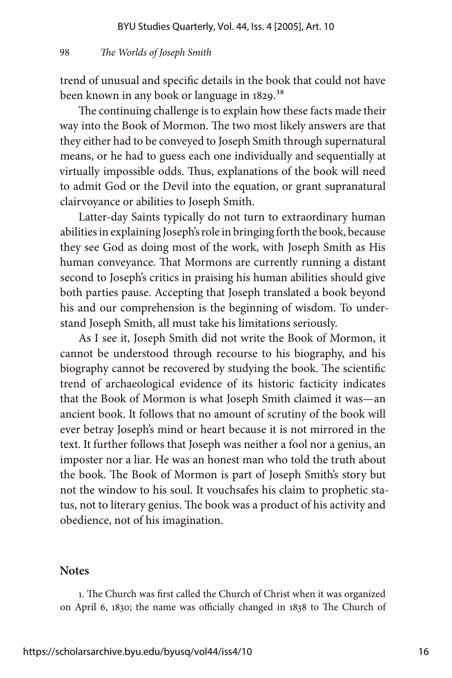trend of unusual and specific details in the book that could not have been known in any book or language in 1829.<sup>38</sup>

 The continuing challenge is to explain how these facts made their way into the Book of Mormon. The two most likely answers are that they either had to be conveyed to Joseph Smith through supernatural means, or he had to guess each one individually and sequentially at virtually impossible odds. Thus, explanations of the book will need to admit God or the Devil into the equation, or grant supranatural clairvoyance or abilities to Joseph Smith.

 Latter-day Saints typically do not turn to extraordinary human abilities in explaining Joseph's role in bringing forth the book, because they see God as doing most of the work, with Joseph Smith as His human conveyance. That Mormons are currently running a distant second to Joseph's critics in praising his human abilities should give both parties pause. Accepting that Joseph translated a book beyond his and our comprehension is the beginning of wisdom. To understand Joseph Smith, all must take his limitations seriously.

 As I see it, Joseph Smith did not write the Book of Mormon, it cannot be understood through recourse to his biography, and his biography cannot be recovered by studying the book. The scientific trend of archaeological evidence of its historic facticity indicates that the Book of Mormon is what Joseph Smith claimed it was—an ancient book. It follows that no amount of scrutiny of the book will ever betray Joseph's mind or heart because it is not mirrored in the text. It further follows that Joseph was neither a fool nor a genius, an imposter nor a liar. He was an honest man who told the truth about the book. The Book of Mormon is part of Joseph Smith's story but not the window to his soul. It vouchsafes his claim to prophetic status, not to literary genius. The book was a product of his activity and obedience, not of his imagination.

### **Notes**

 . The Church was first called the Church of Christ when it was organized on April 6, 1830; the name was officially changed in 1838 to The Church of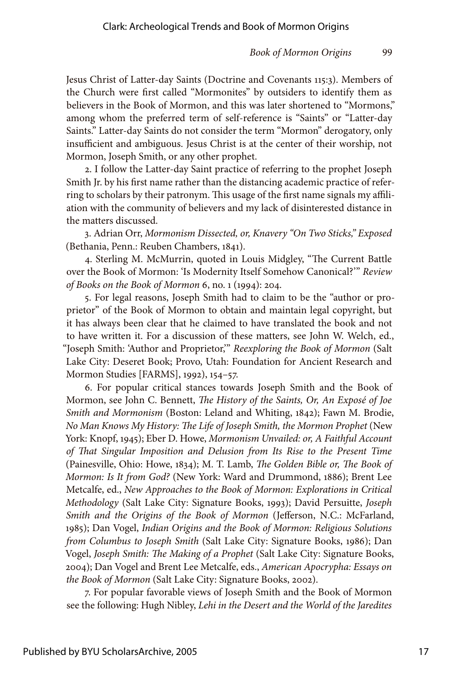Jesus Christ of Latter-day Saints (Doctrine and Covenants 115:3). Members of the Church were first called "Mormonites" by outsiders to identify them as believers in the Book of Mormon, and this was later shortened to "Mormons," among whom the preferred term of self-reference is "Saints" or "Latter-day Saints." Latter-day Saints do not consider the term "Mormon" derogatory, only insufficient and ambiguous. Jesus Christ is at the center of their worship, not Mormon, Joseph Smith, or any other prophet.

 2. I follow the Latter-day Saint practice of referring to the prophet Joseph Smith Jr. by his first name rather than the distancing academic practice of referring to scholars by their patronym. This usage of the first name signals my affiliation with the community of believers and my lack of disinterested distance in the matters discussed.

 3. Adrian Orr, *Mormonism Dissected, or, Knavery "On Two Sticks," Exposed* (Bethania, Penn.: Reuben Chambers, 1841).

 4. Sterling M. McMurrin, quoted in Louis Midgley, "The Current Battle over the Book of Mormon: 'Is Modernity Itself Somehow Canonical?'" *Review of Books on the Book of Mormon* 6, no. 1 (1994): 204.

 5. For legal reasons, Joseph Smith had to claim to be the "author or proprietor" of the Book of Mormon to obtain and maintain legal copyright, but it has always been clear that he claimed to have translated the book and not to have written it. For a discussion of these matters, see John W. Welch, ed., "Joseph Smith: 'Author and Proprietor,'" *Reexploring the Book of Mormon* (Salt Lake City: Deseret Book; Provo, Utah: Foundation for Ancient Research and Mormon Studies [FARMS], 1992), 154-57.

 6. For popular critical stances towards Joseph Smith and the Book of Mormon, see John C. Bennett, *The History of the Saints, Or, An Exposé of Joe Smith and Mormonism* (Boston: Leland and Whiting, 1842); Fawn M. Brodie, *No Man Knows My History: The Life of Joseph Smith, the Mormon Prophet* (New York: Knopf, 945); Eber D. Howe, *Mormonism Unvailed: or, A Faithful Account of That Singular Imposition and Delusion from Its Rise to the Present Time* (Painesville, Ohio: Howe, 834); M. T. Lamb, *The Golden Bible or, The Book of Mormon: Is It from God?* (New York: Ward and Drummond, 1886); Brent Lee Metcalfe, ed., *New Approaches to the Book of Mormon: Explorations in Critical Methodology* (Salt Lake City: Signature Books, 993); David Persuitte, *Joseph Smith and the Origins of the Book of Mormon* (Jefferson, N.C.: McFarland, 985); Dan Vogel, *Indian Origins and the Book of Mormon: Religious Solutions from Columbus to Joseph Smith* (Salt Lake City: Signature Books, 986); Dan Vogel, *Joseph Smith: The Making of a Prophet* (Salt Lake City: Signature Books, 2004); Dan Vogel and Brent Lee Metcalfe, eds., *American Apocrypha: Essays on the Book of Mormon* (Salt Lake City: Signature Books, 2002).

 7. For popular favorable views of Joseph Smith and the Book of Mormon see the following: Hugh Nibley, *Lehi in the Desert and the World of the Jaredites*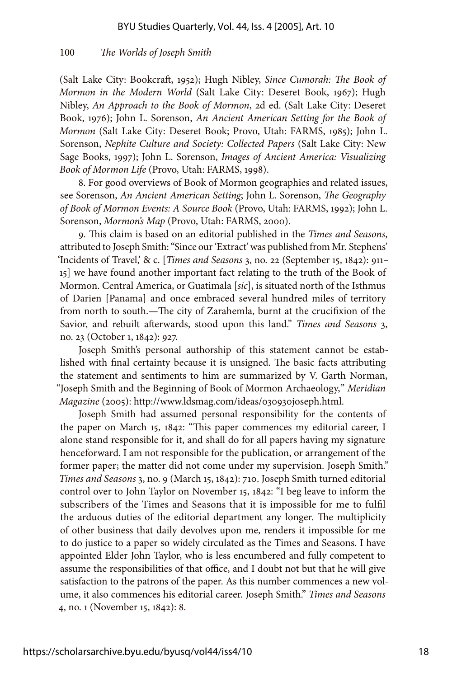(Salt Lake City: Bookcraft, 952); Hugh Nibley, *Since Cumorah: The Book of Mormon in the Modern World* (Salt Lake City: Deseret Book, 1967); Hugh Nibley, *An Approach to the Book of Mormon*, 2d ed. (Salt Lake City: Deseret Book, 976); John L. Sorenson, *An Ancient American Setting for the Book of Mormon* (Salt Lake City: Deseret Book; Provo, Utah: FARMS, 1985); John L. Sorenson, *Nephite Culture and Society: Collected Papers* (Salt Lake City: New Sage Books, 997); John L. Sorenson, *Images of Ancient America: Visualizing*  Book of Mormon Life (Provo, Utah: FARMS, 1998).

 8. For good overviews of Book of Mormon geographies and related issues, see Sorenson, *An Ancient American Setting*; John L. Sorenson, *The Geography of Book of Mormon Events: A Source Book* (Provo, Utah: FARMS, 992); John L. Sorenson, *Mormon's Map* (Provo, Utah: FARMS, 2000).

 9. This claim is based on an editorial published in the *Times and Seasons*, attributed to Joseph Smith: "Since our 'Extract' was published from Mr. Stephens' 'Incidents of Travel,' & c. [*Times and Seasons* 3, no. 22 (September 15, 1842): 911-5] we have found another important fact relating to the truth of the Book of Mormon. Central America, or Guatimala [*sic*], is situated north of the Isthmus of Darien [Panama] and once embraced several hundred miles of territory from north to south.—The city of Zarahemla, burnt at the crucifixion of the Savior, and rebuilt afterwards, stood upon this land." *Times and Seasons* 3, no. 23 (October 1, 1842): 927.

 Joseph Smith's personal authorship of this statement cannot be established with final certainty because it is unsigned. The basic facts attributing the statement and sentiments to him are summarized by V. Garth Norman, "Joseph Smith and the Beginning of Book of Mormon Archaeology," *Meridian Magazine* (2005): http://www.ldsmag.com/ideas/030930joseph.html.

 Joseph Smith had assumed personal responsibility for the contents of the paper on March 15, 1842: "This paper commences my editorial career, I alone stand responsible for it, and shall do for all papers having my signature henceforward. I am not responsible for the publication, or arrangement of the former paper; the matter did not come under my supervision. Joseph Smith." *Times and Seasons* 3, no. 9 (March 15, 1842): 710. Joseph Smith turned editorial control over to John Taylor on November 15, 1842: "I beg leave to inform the subscribers of the Times and Seasons that it is impossible for me to fulfil the arduous duties of the editorial department any longer. The multiplicity of other business that daily devolves upon me, renders it impossible for me to do justice to a paper so widely circulated as the Times and Seasons. I have appointed Elder John Taylor, who is less encumbered and fully competent to assume the responsibilities of that office, and I doubt not but that he will give satisfaction to the patrons of the paper. As this number commences a new volume, it also commences his editorial career. Joseph Smith." *Times and Seasons* 4, no. 1 (November 15, 1842): 8.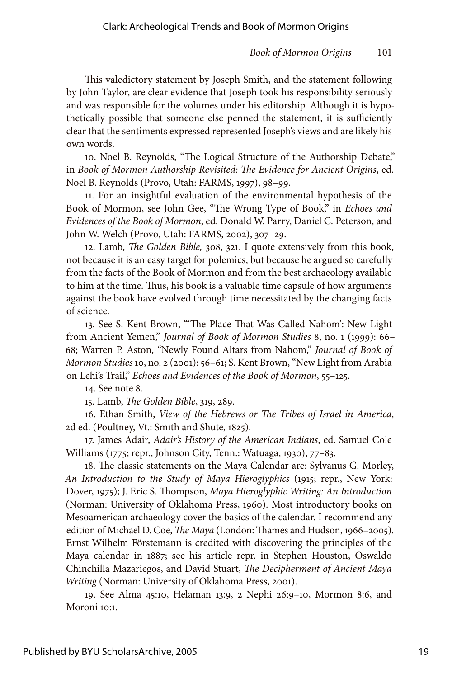This valedictory statement by Joseph Smith, and the statement following by John Taylor, are clear evidence that Joseph took his responsibility seriously and was responsible for the volumes under his editorship. Although it is hypothetically possible that someone else penned the statement, it is sufficiently clear that the sentiments expressed represented Joseph's views and are likely his own words.

10. Noel B. Reynolds, "The Logical Structure of the Authorship Debate," in *Book of Mormon Authorship Revisited: The Evidence for Ancient Origins*, ed. Noel B. Reynolds (Provo, Utah: FARMS, 1997), 98-99.

 . For an insightful evaluation of the environmental hypothesis of the Book of Mormon, see John Gee, "The Wrong Type of Book," in *Echoes and Evidences of the Book of Mormon*, ed. Donald W. Parry, Daniel C. Peterson, and John W. Welch (Provo, Utah: FARMS, 2002), 307–29.

 2. Lamb, *The Golden Bible,* 308, 32. I quote extensively from this book, not because it is an easy target for polemics, but because he argued so carefully from the facts of the Book of Mormon and from the best archaeology available to him at the time. Thus, his book is a valuable time capsule of how arguments against the book have evolved through time necessitated by the changing facts of science.

13. See S. Kent Brown, "The Place That Was Called Nahom': New Light from Ancient Yemen," *Journal of Book of Mormon Studies* 8, no. 1 (1999): 66-68; Warren P. Aston, "Newly Found Altars from Nahom," *Journal of Book of Mormon Studies* 10, no. 2 (2001): 56-61; S. Kent Brown, "New Light from Arabia on Lehi's Trail," *Echoes and Evidences of the Book of Mormon*, 55–25.

4. See note 8.

5. Lamb, *The Golden Bible*, 39, 289.

 6. Ethan Smith, *View of the Hebrews or The Tribes of Israel in America*, 2d ed. (Poultney, Vt.: Smith and Shute, 1825).

 7. James Adair, *Adair's History of the American Indians*, ed. Samuel Cole Williams (1775; repr., Johnson City, Tenn.: Watuaga, 1930), 77-83.

18. The classic statements on the Maya Calendar are: Sylvanus G. Morley, An Introduction to the Study of Maya Hieroglyphics (1915; repr., New York: Dover, 975); J. Eric S. Thompson, *Maya Hieroglyphic Writing: An Introduction* (Norman: University of Oklahoma Press, 960). Most introductory books on Mesoamerican archaeology cover the basics of the calendar. I recommend any edition of Michael D. Coe, *The Maya* (London: Thames and Hudson, 1966–2005). Ernst Wilhelm Förstemann is credited with discovering the principles of the Maya calendar in 1887; see his article repr. in Stephen Houston, Oswaldo Chinchilla Mazariegos, and David Stuart, *The Decipherment of Ancient Maya Writing* (Norman: University of Oklahoma Press, 200).

 9. See Alma 45:0, Helaman 3:9, 2 Nephi 26:9–0, Mormon 8:6, and Moroni 10:1.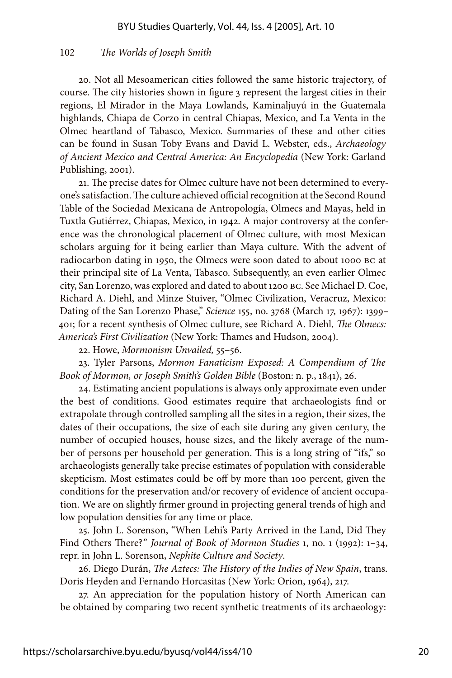20. Not all Mesoamerican cities followed the same historic trajectory, of course. The city histories shown in figure 3 represent the largest cities in their regions, El Mirador in the Maya Lowlands, Kaminaljuyú in the Guatemala highlands, Chiapa de Corzo in central Chiapas, Mexico, and La Venta in the Olmec heartland of Tabasco, Mexico. Summaries of these and other cities can be found in Susan Toby Evans and David L. Webster, eds., *Archaeology of Ancient Mexico and Central America: An Encyclopedia* (New York: Garland Publishing, 2001).

21. The precise dates for Olmec culture have not been determined to everyone's satisfaction. The culture achieved official recognition at the Second Round Table of the Sociedad Mexicana de Antropología, Olmecs and Mayas, held in Tuxtla Gutiérrez, Chiapas, Mexico, in 942. A major controversy at the conference was the chronological placement of Olmec culture, with most Mexican scholars arguing for it being earlier than Maya culture. With the advent of radiocarbon dating in 1950, the Olmecs were soon dated to about 1000 BC at their principal site of La Venta, Tabasco. Subsequently, an even earlier Olmec city, San Lorenzo, was explored and dated to about 200 bc. See Michael D. Coe, Richard A. Diehl, and Minze Stuiver, "Olmec Civilization, Veracruz, Mexico: Dating of the San Lorenzo Phase," *Science* 155, no. 3768 (March 17, 1967): 1399-40; for a recent synthesis of Olmec culture, see Richard A. Diehl, *The Olmecs: America's First Civilization* (New York: Thames and Hudson, 2004).

22. Howe, *Mormonism Unvailed,* 55–56.

 23. Tyler Parsons, *Mormon Fanaticism Exposed: A Compendium of The Book of Mormon, or Joseph Smith's Golden Bible* (Boston: n. p., 84), 26.

 24. Estimating ancient populations is always only approximate even under the best of conditions. Good estimates require that archaeologists find or extrapolate through controlled sampling all the sites in a region, their sizes, the dates of their occupations, the size of each site during any given century, the number of occupied houses, house sizes, and the likely average of the number of persons per household per generation. This is a long string of "ifs," so archaeologists generally take precise estimates of population with considerable skepticism. Most estimates could be off by more than 100 percent, given the conditions for the preservation and/or recovery of evidence of ancient occupation. We are on slightly firmer ground in projecting general trends of high and low population densities for any time or place.

 25. John L. Sorenson, "When Lehi's Party Arrived in the Land, Did They Find Others There?" *Journal of Book of Mormon Studies* 1, no. 1 (1992): 1-34, repr. in John L. Sorenson, *Nephite Culture and Society*.

 26. Diego Durán, *The Aztecs: The History of the Indies of New Spain*, trans. Doris Heyden and Fernando Horcasitas (New York: Orion, 964), 27.

 27. An appreciation for the population history of North American can be obtained by comparing two recent synthetic treatments of its archaeology: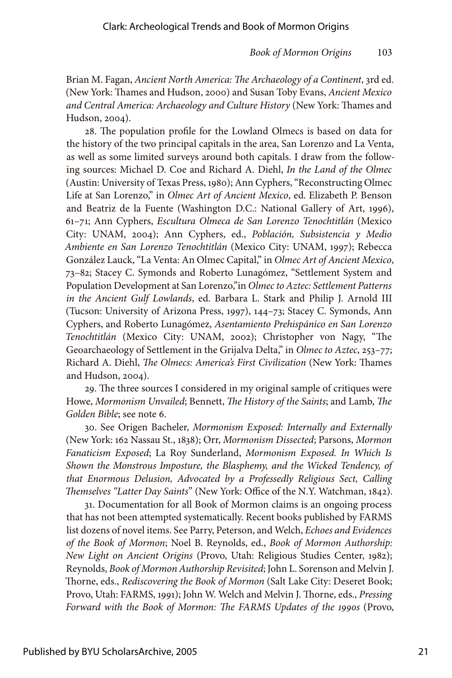Brian M. Fagan, *Ancient North America: The Archaeology of a Continent*, 3rd ed. (New York: Thames and Hudson, 2000) and Susan Toby Evans, *Ancient Mexico and Central America: Archaeology and Culture History* (New York: Thames and Hudson, 2004).

 28. The population profile for the Lowland Olmecs is based on data for the history of the two principal capitals in the area, San Lorenzo and La Venta, as well as some limited surveys around both capitals. I draw from the following sources: Michael D. Coe and Richard A. Diehl, *In the Land of the Olmec* (Austin: University of Texas Press, 980); Ann Cyphers, "Reconstructing Olmec Life at San Lorenzo," in *Olmec Art of Ancient Mexico*, ed. Elizabeth P. Benson and Beatriz de la Fuente (Washington D.C.: National Gallery of Art, 1996), 6–7; Ann Cyphers, *Escultura Olmeca de San Lorenzo Tenochtitlán* (Mexico City: UNAM, 2004); Ann Cyphers, ed., *Población, Subsistencia y Medio Ambiente en San Lorenzo Tenochtitlán* (Mexico City: UNAM, 997); Rebecca González Lauck, "La Venta: An Olmec Capital," in *Olmec Art of Ancient Mexico*, 73–82; Stacey C. Symonds and Roberto Lunagómez, "Settlement System and Population Development at San Lorenzo,"in *Olmec to Aztec: Settlement Patterns in the Ancient Gulf Lowlands*, ed. Barbara L. Stark and Philip J. Arnold III (Tucson: University of Arizona Press, 997), 44–73; Stacey C. Symonds, Ann Cyphers, and Roberto Lunagómez, *Asentamiento Prehispánico en San Lorenzo Tenochtitlán* (Mexico City: UNAM, 2002); Christopher von Nagy, "The Geoarchaeology of Settlement in the Grijalva Delta," in *Olmec to Aztec*, 253–77; Richard A. Diehl, *The Olmecs: America's First Civilization* (New York: Thames and Hudson, 2004).

 29. The three sources I considered in my original sample of critiques were Howe, *Mormonism Unvailed*; Bennett, *The History of the Saints*; and Lamb, *The Golden Bible*; see note 6.

 30. See Origen Bacheler, *Mormonism Exposed: Internally and Externally* (New York: 62 Nassau St., 838); Orr, *Mormonism Dissected*; Parsons, *Mormon Fanaticism Exposed*; La Roy Sunderland, *Mormonism Exposed. In Which Is Shown the Monstrous Imposture, the Blasphemy, and the Wicked Tendency, of that Enormous Delusion, Advocated by a Professedly Religious Sect, Calling Themselves "Latter Day Saints"* (New York: Office of the N.Y. Watchman, 1842).

 3. Documentation for all Book of Mormon claims is an ongoing process that has not been attempted systematically. Recent books published by FARMS list dozens of novel items. See Parry, Peterson, and Welch, *Echoes and Evidences of the Book of Mormon*; Noel B. Reynolds, ed., *Book of Mormon Authorship: New Light on Ancient Origins* (Provo, Utah: Religious Studies Center, 1982); Reynolds, *Book of Mormon Authorship Revisited*; John L. Sorenson and Melvin J. Thorne, eds., *Rediscovering the Book of Mormon* (Salt Lake City: Deseret Book; Provo, Utah: FARMS, 1991); John W. Welch and Melvin J. Thorne, eds., Pressing *Forward with the Book of Mormon: The FARMS Updates of the 990s* (Provo,